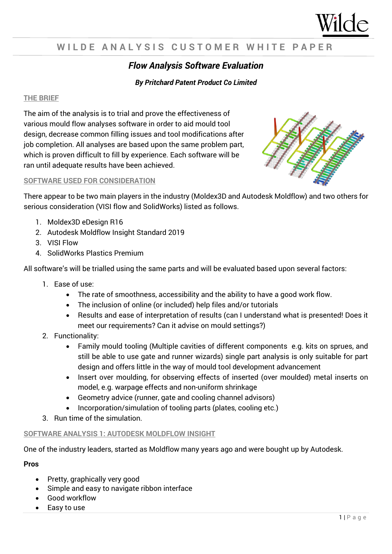

# WILDE ANALYSIS CUSTOMER WHITE PAPER

# *Flow Analysis Software Evaluation*

### *By Pritchard Patent Product Co Limited*

#### **THE BRIEF**

The aim of the analysis is to trial and prove the effectiveness of various mould flow analyses software in order to aid mould tool design, decrease common filling issues and tool modifications after job completion. All analyses are based upon the same problem part, which is proven difficult to fill by experience. Each software will be ran until adequate results have been achieved.

#### **SOFTWARE USED FOR CONSIDERATION**

There appear to be two main players in the industry (Moldex3D and Autodesk Moldflow) and two others for serious consideration (VISI flow and SolidWorks) listed as follows.

- 1. Moldex3D eDesign R16
- 2. Autodesk Moldflow Insight Standard 2019
- 3. VISI Flow
- 4. SolidWorks Plastics Premium

All software's will be trialled using the same parts and will be evaluated based upon several factors:

- 1. Ease of use:
	- The rate of smoothness, accessibility and the ability to have a good work flow.
	- The inclusion of online (or included) help files and/or tutorials
	- Results and ease of interpretation of results (can I understand what is presented! Does it meet our requirements? Can it advise on mould settings?)
- 2. Functionality:
	- Family mould tooling (Multiple cavities of different components e.g. kits on sprues, and still be able to use gate and runner wizards) single part analysis is only suitable for part design and offers little in the way of mould tool development advancement
	- Insert over moulding, for observing effects of inserted (over moulded) metal inserts on model, e.g. warpage effects and non-uniform shrinkage
	- Geometry advice (runner, gate and cooling channel advisors)
	- Incorporation/simulation of tooling parts (plates, cooling etc.)
- 3. Run time of the simulation.

#### **SOFTWARE ANALYSIS 1: AUTODESK MOLDFLOW INSIGHT**

One of the industry leaders, started as Moldflow many years ago and were bought up by Autodesk.

#### **Pros**

- Pretty, graphically very good
- Simple and easy to navigate ribbon interface
- Good workflow
- Easy to use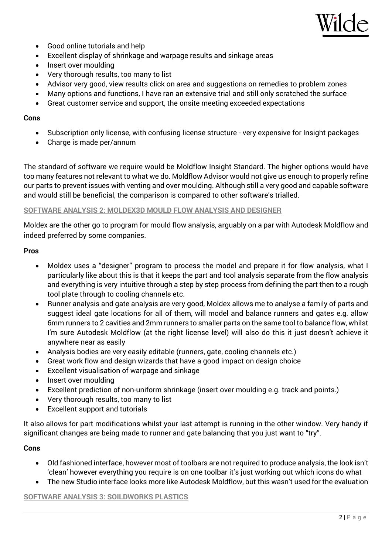

- Good online tutorials and help
- Excellent display of shrinkage and warpage results and sinkage areas
- Insert over moulding
- Very thorough results, too many to list
- Advisor very good, view results click on area and suggestions on remedies to problem zones
- Many options and functions, I have ran an extensive trial and still only scratched the surface
- Great customer service and support, the onsite meeting exceeded expectations

#### **Cons**

- Subscription only license, with confusing license structure very expensive for Insight packages
- Charge is made per/annum

The standard of software we require would be Moldflow Insight Standard. The higher options would have too many features not relevant to what we do. Moldflow Advisor would not give us enough to properly refine our parts to prevent issues with venting and over moulding. Although still a very good and capable software and would still be beneficial, the comparison is compared to other software's trialled.

#### **SOFTWARE ANALYSIS 2: MOLDEX3D MOULD FLOW ANALYSIS AND DESIGNER**

Moldex are the other go to program for mould flow analysis, arguably on a par with Autodesk Moldflow and indeed preferred by some companies.

#### **Pros**

- Moldex uses a "designer" program to process the model and prepare it for flow analysis, what I particularly like about this is that it keeps the part and tool analysis separate from the flow analysis and everything is very intuitive through a step by step process from defining the part then to a rough tool plate through to cooling channels etc.
- Runner analysis and gate analysis are very good, Moldex allows me to analyse a family of parts and suggest ideal gate locations for all of them, will model and balance runners and gates e.g. allow 6mm runners to 2 cavities and 2mm runners to smaller parts on the same tool to balance flow, whilst I'm sure Autodesk Moldflow (at the right license level) will also do this it just doesn't achieve it anywhere near as easily
- Analysis bodies are very easily editable (runners, gate, cooling channels etc.)
- Great work flow and design wizards that have a good impact on design choice
- Excellent visualisation of warpage and sinkage
- Insert over moulding
- Excellent prediction of non-uniform shrinkage (insert over moulding e.g. track and points.)
- Very thorough results, too many to list
- Excellent support and tutorials

It also allows for part modifications whilst your last attempt is running in the other window. Very handy if significant changes are being made to runner and gate balancing that you just want to "try".

#### **Cons**

- Old fashioned interface, however most of toolbars are not required to produce analysis, the look isn't 'clean' however everything you require is on one toolbar it's just working out which icons do what
- The new Studio interface looks more like Autodesk Moldflow, but this wasn't used for the evaluation

#### **SOFTWARE ANALYSIS 3: SOILDWORKS PLASTICS**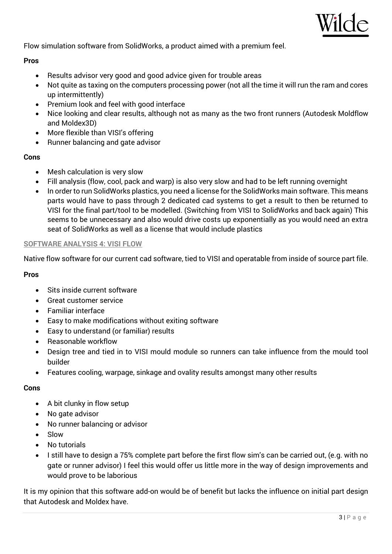

Flow simulation software from SolidWorks, a product aimed with a premium feel.

#### **Pros**

- Results advisor very good and good advice given for trouble areas
- Not quite as taxing on the computers processing power (not all the time it will run the ram and cores up intermittently)
- Premium look and feel with good interface
- Nice looking and clear results, although not as many as the two front runners (Autodesk Moldflow and Moldex3D)
- More flexible than VISI's offering
- Runner balancing and gate advisor

#### **Cons**

- Mesh calculation is very slow
- Fill analysis (flow, cool, pack and warp) is also very slow and had to be left running overnight
- In order to run SolidWorks plastics, you need a license for the SolidWorks main software. This means parts would have to pass through 2 dedicated cad systems to get a result to then be returned to VISI for the final part/tool to be modelled. (Switching from VISI to SolidWorks and back again) This seems to be unnecessary and also would drive costs up exponentially as you would need an extra seat of SolidWorks as well as a license that would include plastics

#### **SOFTWARE ANALYSIS 4: VISI FLOW**

Native flow software for our current cad software, tied to VISI and operatable from inside of source part file.

#### **Pros**

- Sits inside current software
- Great customer service
- Familiar interface
- Easy to make modifications without exiting software
- Easy to understand (or familiar) results
- Reasonable workflow
- Design tree and tied in to VISI mould module so runners can take influence from the mould tool builder
- Features cooling, warpage, sinkage and ovality results amongst many other results

#### **Cons**

- $\bullet$  A bit clunky in flow setup
- No gate advisor
- No runner balancing or advisor
- Slow
- No tutorials
- I still have to design a 75% complete part before the first flow sim's can be carried out, (e.g. with no gate or runner advisor) I feel this would offer us little more in the way of design improvements and would prove to be laborious

It is my opinion that this software add-on would be of benefit but lacks the influence on initial part design that Autodesk and Moldex have.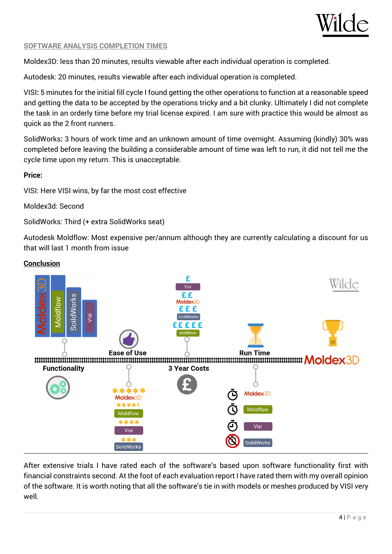

#### **SOFTWARE ANALYSIS COMPLETION TIMES**

Moldex3D: less than 20 minutes, results viewable after each individual operation is completed.

Autodesk: 20 minutes, results viewable after each individual operation is completed.

VISI**:** 5 minutes for the initial fill cycle I found getting the other operations to function at a reasonable speed and getting the data to be accepted by the operations tricky and a bit clunky. Ultimately I did not complete the task in an orderly time before my trial license expired. I am sure with practice this would be almost as quick as the 2 front runners.

SolidWorks**:** 3 hours of work time and an unknown amount of time overnight. Assuming (kindly) 30% was completed before leaving the building a considerable amount of time was left to run, it did not tell me the cycle time upon my return. This is unacceptable.

#### **Price:**

VISI: Here VISI wins, by far the most cost effective

Moldex3d: Second

SolidWorks: Third (+ extra SolidWorks seat)

Autodesk Moldflow: Most expensive per/annum although they are currently calculating a discount for us that will last 1 month from issue



After extensive trials I have rated each of the software's based upon software functionality first with financial constraints second. At the foot of each evaluation report I have rated them with my overall opinion of the software. It is worth noting that all the software's tie in with models or meshes produced by VISI very well.

# **Conclusion**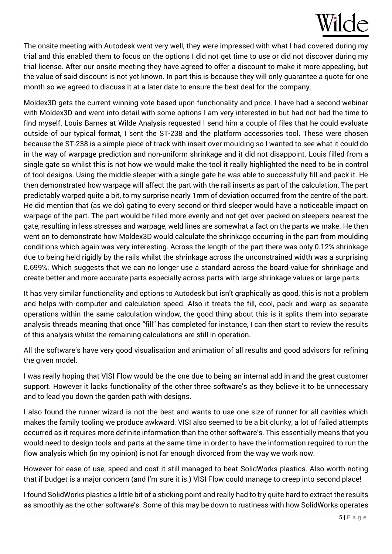# Wilde

The onsite meeting with Autodesk went very well, they were impressed with what I had covered during my trial and this enabled them to focus on the options I did not get time to use or did not discover during my trial license. After our onsite meeting they have agreed to offer a discount to make it more appealing, but the value of said discount is not yet known. In part this is because they will only guarantee a quote for one month so we agreed to discuss it at a later date to ensure the best deal for the company.

Moldex3D gets the current winning vote based upon functionality and price. I have had a second webinar with Moldex3D and went into detail with some options I am very interested in but had not had the time to find myself. Louis Barnes at Wilde Analysis requested I send him a couple of files that he could evaluate outside of our typical format, I sent the ST-238 and the platform accessories tool. These were chosen because the ST-238 is a simple piece of track with insert over moulding so I wanted to see what it could do in the way of warpage prediction and non-uniform shrinkage and it did not disappoint. Louis filled from a single gate so whilst this is not how we would make the tool it really highlighted the need to be in control of tool designs. Using the middle sleeper with a single gate he was able to successfully fill and pack it. He then demonstrated how warpage will affect the part with the rail inserts as part of the calculation. The part predictably warped quite a bit, to my surprise nearly 1mm of deviation occurred from the centre of the part. He did mention that (as we do) gating to every second or third sleeper would have a noticeable impact on warpage of the part. The part would be filled more evenly and not get over packed on sleepers nearest the gate, resulting in less stresses and warpage, weld lines are somewhat a fact on the parts we make. He then went on to demonstrate how Moldex3D would calculate the shrinkage occurring in the part from moulding conditions which again was very interesting. Across the length of the part there was only 0.12% shrinkage due to being held rigidly by the rails whilst the shrinkage across the unconstrained width was a surprising 0.699%. Which suggests that we can no longer use a standard across the board value for shrinkage and create better and more accurate parts especially across parts with large shrinkage values or large parts.

It has very similar functionality and options to Autodesk but isn't graphically as good, this is not a problem and helps with computer and calculation speed. Also it treats the fill, cool, pack and warp as separate operations within the same calculation window, the good thing about this is it splits them into separate analysis threads meaning that once "fill" has completed for instance, I can then start to review the results of this analysis whilst the remaining calculations are still in operation.

All the software's have very good visualisation and animation of all results and good advisors for refining the given model.

I was really hoping that VISI Flow would be the one due to being an internal add in and the great customer support. However it lacks functionality of the other three software's as they believe it to be unnecessary and to lead you down the garden path with designs.

I also found the runner wizard is not the best and wants to use one size of runner for all cavities which makes the family tooling we produce awkward. VISI also seemed to be a bit clunky, a lot of failed attempts occurred as it requires more definite information than the other software's. This essentially means that you would need to design tools and parts at the same time in order to have the information required to run the flow analysis which (in my opinion) is not far enough divorced from the way we work now.

However for ease of use, speed and cost it still managed to beat SolidWorks plastics. Also worth noting that if budget is a major concern (and I'm sure it is.) VISI Flow could manage to creep into second place!

I found SolidWorks plastics a little bit of a sticking point and really had to try quite hard to extract the results as smoothly as the other software's. Some of this may be down to rustiness with how SolidWorks operates